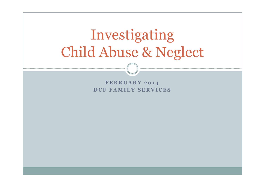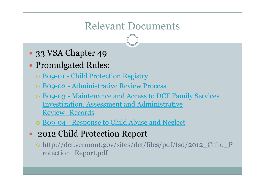# Relevant Documents

- 33 VSA Chapter 49
- Promulgated Rules:
	- B09-01 Child Protection Registry
	- B09-02 Administrative Review Process
	- B09-03 Maintenance and Access to DCF Family Services Investigation, Assessment and Administrative Review Records
	- B09-04 Response to Child Abuse and Neglect
- 2012 Child Protection Report
	- http://dcf.vermont.gov/sites/dcf/files/pdf/fsd/2012\_Child\_P rotection\_Report.pdf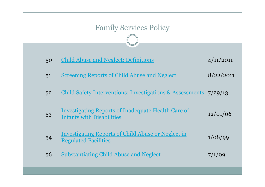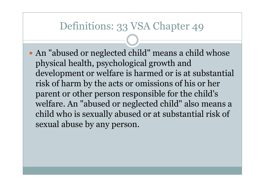• An "abused or neglected child" means a child whose physical health, psychological growth and development or welfare is harmed or is at substantial risk of harm by the acts or omissions of his or her parent or other person responsible for the child's welfare. An "abused or neglected child" also means a child who is sexually abused or at substantial risk of sexual abuse by any person.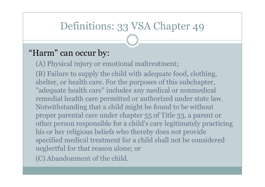#### "Harm" can occur by:

(A) Physical injury or emotional maltreatment;

(B) Failure to supply the child with adequate food, clothing, shelter, or health care. For the purposes of this subchapter, "adequate health care" includes any medical or nonmedical remedial health care permitted or authorized under state law. Notwithstanding that a child might be found to be without proper parental care under chapter 55 of Title 33, a parent or other person responsible for a child's care legitimately practicing his or her religious beliefs who thereby does not provide specified medical treatment for a child shall not be considered neglectful for that reason alone; or

(C) Abandonment of the child.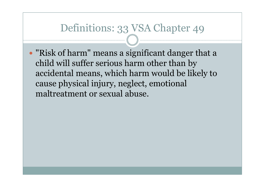• "Risk of harm" means a significant danger that a child will suffer serious harm other than by accidental means, which harm would be likely to cause physical injury, neglect, emotional maltreatment or sexual abuse.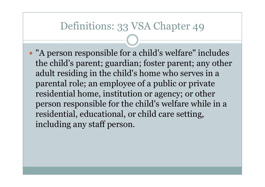"A person responsible for a child's welfare" includes the child's parent; guardian; foster parent; any other adult residing in the child's home who serves in a parental role; an employee of a public or private residential home, institution or agency; or other person responsible for the child's welfare while in a residential, educational, or child care setting, including any staff person.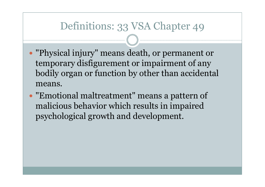- "Physical injury" means death, or permanent or temporary disfigurement or impairment of any bodily organ or function by other than accidental means.
- "Emotional maltreatment" means a pattern of malicious behavior which results in impaired psychological growth and development.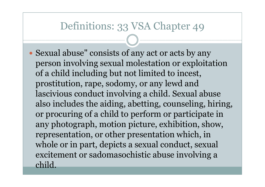• Sexual abuse" consists of any act or acts by any person involving sexual molestation or exploitation of a child including but not limited to incest, prostitution, rape, sodomy, or any lewd and lascivious conduct involving a child. Sexual abuse also includes the aiding, abetting, counseling, hiring, or procuring of a child to perform or participate in any photograph, motion picture, exhibition, show, representation, or other presentation which, in whole or in part, depicts a sexual conduct, sexual excitement or sadomasochistic abuse involving a child.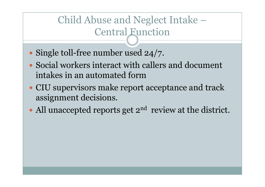# Child Abuse and Neglect Intake – Central Function

- Single toll-free number used 24/7.
- Social workers interact with callers and document intakes in an automated form
- CIU supervisors make report acceptance and track assignment decisions.
- All unaccepted reports get  $2^{nd}$  review at the district.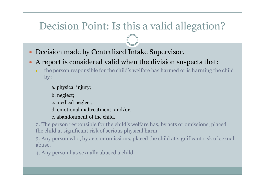# Decision Point: Is this a valid allegation?

- Decision made by Centralized Intake Supervisor.
- A report is considered valid when the division suspects that:
	- the person responsible for the child's welfare has harmed or is harming the child by :

a. physical injury;

b. neglect;

c. medical neglect;

d. emotional maltreatment; and/or.

e. abandonment of the child.

2. The person responsible for the child's welfare has, by acts or omissions, placed the child at significant risk of serious physical harm.

3. Any person who, by acts or omissions, placed the child at significant risk of sexual abuse.

4. Any person has sexually abused a child.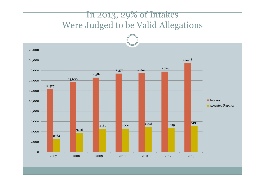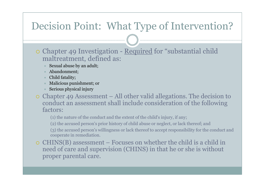# Decision Point: What Type of Intervention?

- Chapter 49 Investigation Required for "substantial child maltreatment, defined as:
	- Sexual abuse by an adult;
	- Abandonment;
	- Child fatality;
	- Malicious punishment; or
	- Serious physical injury
- $\circ$  Chapter 49 Assessment All other valid allegations. The decision to conduct an assessment shall include consideration of the following factors:

(1) the nature of the conduct and the extent of the child's injury, if any;

(2) the accused person's prior history of child abuse or neglect, or lack thereof; and

(3) the accused person's willingness or lack thereof to accept responsibility for the conduct and cooperate in remediation.

 CHINS(B) assessment – Focuses on whether the child is a child in need of care and supervision (CHINS) in that he or she is without proper parental care.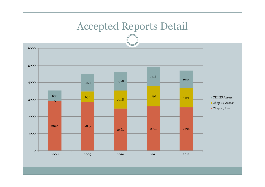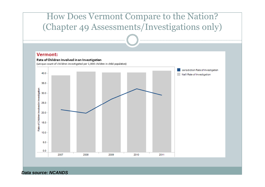### How Does Vermont Compare to the Nation? (Chapter 49 Assessments/Investigations only)

#### Vermont:



*Data source: NCANDS*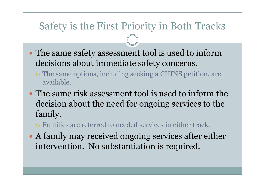# Safety is the First Priority in Both Tracks

- The same safety assessment tool is used to inform decisions about immediate safety concerns.
	- The same options, including seeking a CHINS petition, are available.
- The same risk assessment tool is used to inform the decision about the need for ongoing services to the family.
	- Families are referred to needed services in either track.
- A family may received ongoing services after either intervention. No substantiation is required.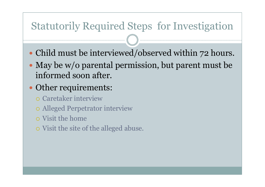# Statutorily Required Steps for Investigation

- Child must be interviewed/observed within 72 hours.
- May be w/o parental permission, but parent must be informed soon after.
- Other requirements:
	- Caretaker interview
	- Alleged Perpetrator interview
	- Visit the home
	- Visit the site of the alleged abuse.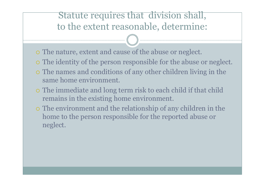### Statute requires that division shall, to the extent reasonable, determine:

- The nature, extent and cause of the abuse or neglect.
- The identity of the person responsible for the abuse or neglect.
- The names and conditions of any other children living in the same home environment.
- The immediate and long term risk to each child if that child remains in the existing home environment.
- The environment and the relationship of any children in the home to the person responsible for the reported abuse or neglect.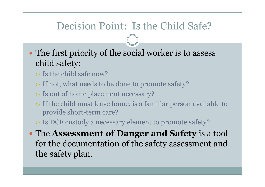# Decision Point: Is the Child Safe?

- The first priority of the social worker is to assess child safety:
	- Is the child safe now?
	- If not, what needs to be done to promote safety?
	- Is out of home placement necessary?
	- If the child must leave home, is a familiar person available to provide short-term care?
	- Is DCF custody a necessary element to promote safety?
- The **Assessment of Danger and Safety** is a tool for the documentation of the safety assessment and the safety plan.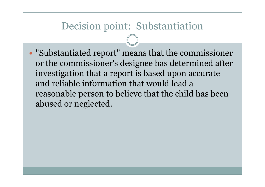### Decision point: Substantiation

 "Substantiated report" means that the commissioner or the commissioner's designee has determined after investigation that a report is based upon accurate and reliable information that would lead a reasonable person to believe that the child has been abused or neglected.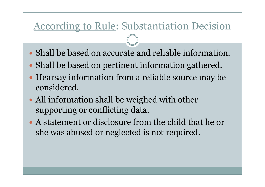# According to Rule: Substantiation Decision

- Shall be based on accurate and reliable information.
- Shall be based on pertinent information gathered.
- Hearsay information from a reliable source may be considered.
- All information shall be weighed with other supporting or conflicting data.
- A statement or disclosure from the child that he or she was abused or neglected is not required.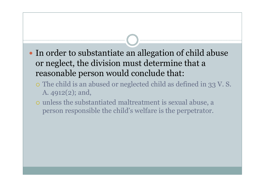- In order to substantiate an allegation of child abuse or neglect, the division must determine that a reasonable person would conclude that:
	- The child is an abused or neglected child as defined in 33 V. S. A. 4912(2); and,
	- unless the substantiated maltreatment is sexual abuse, a person responsible the child's welfare is the perpetrator.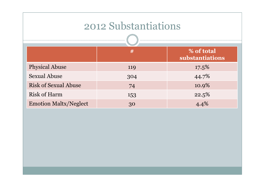# 2012 Substantiations

| ------------------------------- |     |                               |
|---------------------------------|-----|-------------------------------|
|                                 | #   | % of total<br>substantiations |
| <b>Physical Abuse</b>           | 119 | 17.5%                         |
| <b>Sexual Abuse</b>             | 304 | 44.7%                         |
| <b>Risk of Sexual Abuse</b>     | 74  | 10.9%                         |
| <b>Risk of Harm</b>             | 153 | 22.5%                         |
| <b>Emotion Maltx/Neglect</b>    | 30  | 4.4%                          |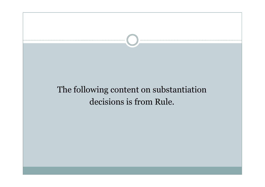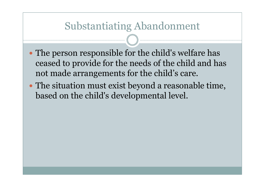# Substantiating Abandonment

- The person responsible for the child's welfare has ceased to provide for the needs of the child and has not made arrangements for the child's care.
- The situation must exist beyond a reasonable time, based on the child's developmental level.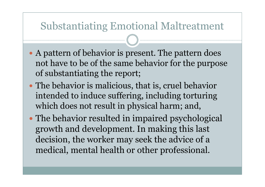### Substantiating Emotional Maltreatment

- A pattern of behavior is present. The pattern does not have to be of the same behavior for the purpose of substantiating the report;
- The behavior is malicious, that is, cruel behavior intended to induce suffering, including torturing which does not result in physical harm; and,
- The behavior resulted in impaired psychological growth and development. In making this last decision, the worker may seek the advice of a medical, mental health or other professional.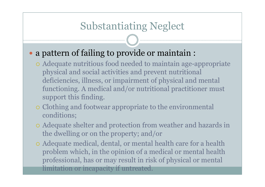# Substantiating Neglect

- a pattern of failing to provide or maintain :
	- Adequate nutritious food needed to maintain age-appropriate physical and social activities and prevent nutritional deficiencies, illness, or impairment of physical and mental functioning. A medical and/or nutritional practitioner must support this finding.
	- Clothing and footwear appropriate to the environmental conditions;
	- Adequate shelter and protection from weather and hazards in the dwelling or on the property; and/or
	- Adequate medical, dental, or mental health care for a health problem which, in the opinion of a medical or mental health professional, has or may result in risk of physical or mental limitation or incapacity if untreated.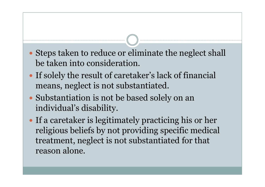- Steps taken to reduce or eliminate the neglect shall be taken into consideration.
- If solely the result of caretaker's lack of financial means, neglect is not substantiated.
- Substantiation is not be based solely on an individual's disability.
- If a caretaker is legitimately practicing his or her religious beliefs by not providing specific medical treatment, neglect is not substantiated for that reason alone.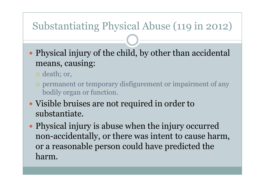# Substantiating Physical Abuse (119 in 2012)

- Physical injury of the child, by other than accidental means, causing:
	- death; or,
	- permanent or temporary disfigurement or impairment of any bodily organ or function.
- Visible bruises are not required in order to substantiate.
- Physical injury is abuse when the injury occurred non-accidentally, or there was intent to cause harm, or a reasonable person could have predicted the harm.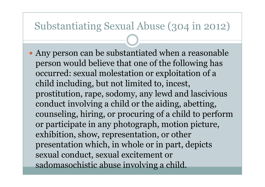### Substantiating Sexual Abuse (304 in 2012)

• Any person can be substantiated when a reasonable person would believe that one of the following has occurred: sexual molestation or exploitation of a child including, but not limited to, incest, prostitution, rape, sodomy, any lewd and lascivious conduct involving a child or the aiding, abetting, counseling, hiring, or procuring of a child to perform or participate in any photograph, motion picture, exhibition, show, representation, or other presentation which, in whole or in part, depicts sexual conduct, sexual excitement or sadomasochistic abuse involving a child.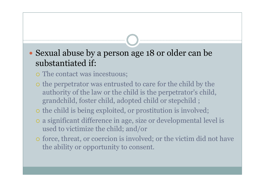#### Sexual abuse by a person age 18 or older can be substantiated if:

- The contact was incestuous;
- o the perpetrator was entrusted to care for the child by the authority of the law or the child is the perpetrator's child, grandchild, foster child, adopted child or stepchild ;
- o the child is being exploited, or prostitution is involved;
- a significant difference in age, size or developmental level is used to victimize the child; and/or
- force, threat, or coercion is involved; or the victim did not have the ability or opportunity to consent.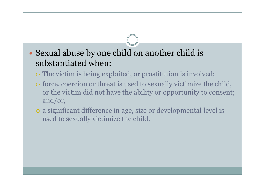### Sexual abuse by one child on another child is substantiated when:

- The victim is being exploited, or prostitution is involved;
- force, coercion or threat is used to sexually victimize the child, or the victim did not have the ability or opportunity to consent; and/or,
- a significant difference in age, size or developmental level is used to sexually victimize the child.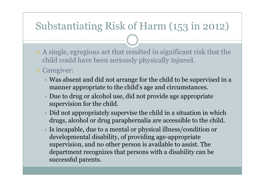# Substantiating Risk of Harm (153 in 2012)

- A single, egregious act that resulted in significant risk that the child could have been seriously physically injured.
- o Caregiver:
	- $\times$  Was absent and did not arrange for the child to be supervised in a manner appropriate to the child's age and circumstances.
	- $\triangleright$  Due to drug or alcohol use, did not provide age appropriate supervision for the child.
	- $\triangleright$  Did not appropriately supervise the child in a situation in which drugs, alcohol or drug paraphernalia are accessible to the child.
	- $\overline{\phantom{a}}$  Is incapable, due to a mental or physical illness/condition or developmental disability, of providing age-appropriate supervision, and no other person is available to assist. The department recognizes that persons with a disability can be successful parents.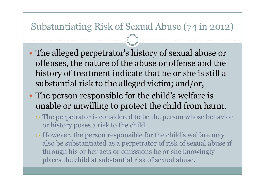### Substantiating Risk of Sexual Abuse (74 in 2012)

- The alleged perpetrator's history of sexual abuse or offenses, the nature of the abuse or offense and the history of treatment indicate that he or she is still a substantial risk to the alleged victim; and/or,
- The person responsible for the child's welfare is unable or unwilling to protect the child from harm.
	- The perpetrator is considered to be the person whose behavior or history poses a risk to the child.
	- However, the person responsible for the child's welfare may also be substantiated as a perpetrator of risk of sexual abuse if through his or her acts or omissions he or she knowingly places the child at substantial risk of sexual abuse.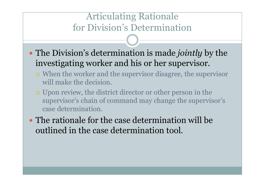# Articulating Rationale for Division's Determination

- The Division's determination is made *jointly* by the investigating worker and his or her supervisor.
	- When the worker and the supervisor disagree, the supervisor will make the decision.
	- Upon review, the district director or other person in the supervisor's chain of command may change the supervisor's case determination.
- The rationale for the case determination will be outlined in the case determination tool.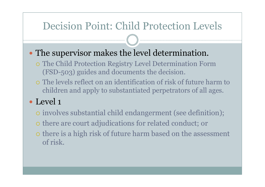### Decision Point: Child Protection Levels

- The supervisor makes the level determination.
	- The Child Protection Registry Level Determination Form (FSD-503) guides and documents the decision.
	- The levels reflect on an identification of risk of future harm to children and apply to substantiated perpetrators of all ages.

#### • Level 1

- involves substantial child endangerment (see definition);
- there are court adjudications for related conduct; or
- o there is a high risk of future harm based on the assessment of risk.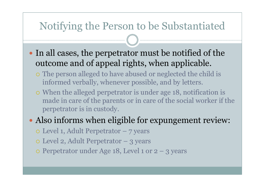### Notifying the Person to be Substantiated

- In all cases, the perpetrator must be notified of the outcome and of appeal rights, when applicable.
	- The person alleged to have abused or neglected the child is informed verbally, whenever possible, and by letters.
	- When the alleged perpetrator is under age 18, notification is made in care of the parents or in care of the social worker if the perpetrator is in custody.

#### • Also informs when eligible for expungement review:

- Level 1, Adult Perpetrator 7 years
- Level 2, Adult Perpetrator 3 years
- $\circ$  Perpetrator under Age 18, Level 1 or 2 3 years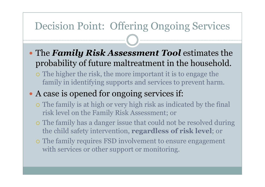### Decision Point: Offering Ongoing Services

- The *Family Risk Assessment Tool* estimates the probability of future maltreatment in the household.
	- The higher the risk, the more important it is to engage the family in identifying supports and services to prevent harm.

### • A case is opened for ongoing services if:

- The family is at high or very high risk as indicated by the final risk level on the Family Risk Assessment; or
- The family has a danger issue that could not be resolved during the child safety intervention, **regardless of risk level**; or
- The family requires FSD involvement to ensure engagement with services or other support or monitoring.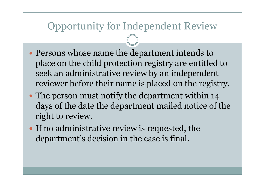### Opportunity for Independent Review

- Persons whose name the department intends to place on the child protection registry are entitled to seek an administrative review by an independent reviewer before their name is placed on the registry.
- The person must notify the department within 14 days of the date the department mailed notice of the right to review.
- If no administrative review is requested, the department's decision in the case is final.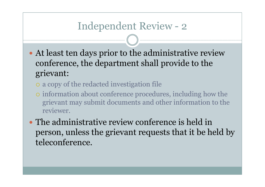# Independent Review - 2

- At least ten days prior to the administrative review conference, the department shall provide to the grievant:
	- a copy of the redacted investigation file
	- information about conference procedures, including how the grievant may submit documents and other information to the reviewer.
- The administrative review conference is held in person, unless the grievant requests that it be held by teleconference.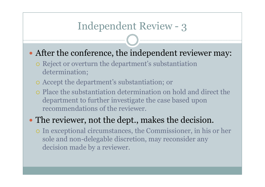# Independent Review - 3

- After the conference, the independent reviewer may:
	- Reject or overturn the department's substantiation determination;
	- Accept the department's substantiation; or
	- Place the substantiation determination on hold and direct the department to further investigate the case based upon recommendations of the reviewer.

#### • The reviewer, not the dept., makes the decision.

 In exceptional circumstances, the Commissioner, in his or her sole and non-delegable discretion, may reconsider any decision made by a reviewer.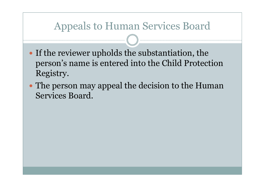# Appeals to Human Services Board

- If the reviewer upholds the substantiation, the person's name is entered into the Child Protection Registry.
- The person may appeal the decision to the Human Services Board.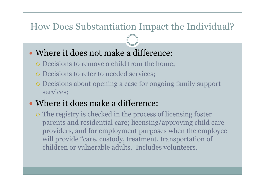#### How Does Substantiation Impact the Individual?

#### Where it does not make a difference:

- Decisions to remove a child from the home;
- Decisions to refer to needed services;
- Decisions about opening a case for ongoing family support services;
- Where it does make a difference:

 The registry is checked in the process of licensing foster parents and residential care; licensing/approving child care providers, and for employment purposes when the employee will provide "care, custody, treatment, transportation of children or vulnerable adults. Includes volunteers.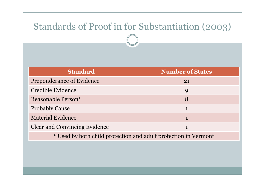# Standards of Proof in for Substantiation (2003)

| <b>Standard</b>                                                 | <b>Number of States</b> |  |
|-----------------------------------------------------------------|-------------------------|--|
| <b>Preponderance of Evidence</b>                                | 21                      |  |
| Credible Evidence                                               | 9                       |  |
| Reasonable Person*                                              | 8                       |  |
| <b>Probably Cause</b>                                           | 1                       |  |
| <b>Material Evidence</b>                                        | 1                       |  |
| <b>Clear and Convincing Evidence</b>                            |                         |  |
| * Used by both child protection and adult protection in Vermont |                         |  |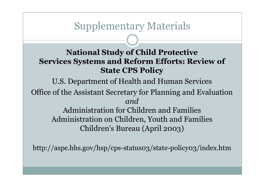## Supplementary Materials

#### **National Study of Child Protective Services Systems and Reform Efforts: Review of State CPS Policy**

U.S. Department of Health and Human Services

Office of the Assistant Secretary for Planning and Evaluation *and*

Administration for Children and Families Administration on Children, Youth and Families Children's Bureau (April 2003)

http://aspe.hhs.gov/hsp/cps-status03/state-policy03/index.htm